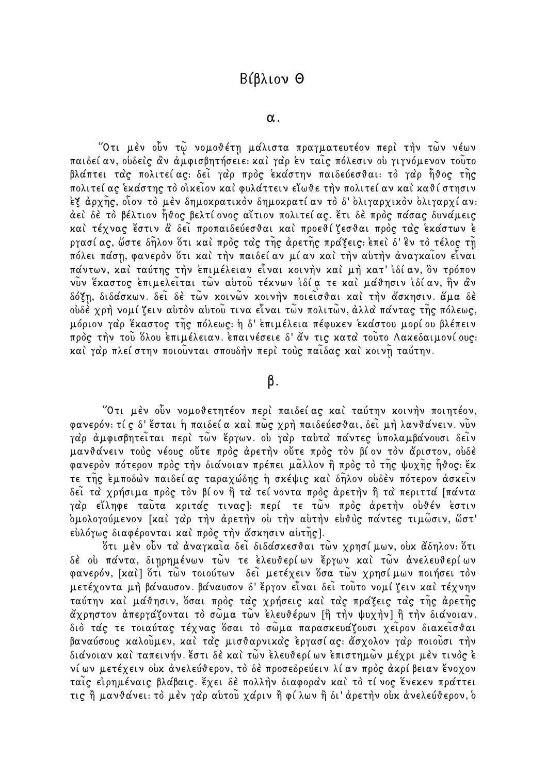## Βίβλιον Θ

## $\alpha$ .

**Ότι μὲν οὗν τῷ νομοθέτη μάλιστα πραγματευτέον περὶ τὴν τῶν νέων** παιδεί αν, ούδεις άν άμφισβητήσειε: και γαρ εν ταις πόλεσιν ου γιγνόμενον τουτο βλάπτει τας πολιτείας: δει γαρ προς εκάστην παιδεύεσθαι: το γαρ ήθος της πολιτεί ας εκάστης τὸ οἰκεἶον καὶ φυλάττειν εἴωθε τὴν πολιτεί αν καὶ καθί στησιν έζ άρχης, οίον το μέν δημοκρατικον δημοκρατί αν το δ' ολιγαρχικον ολιγαρχί αν: άει δε το βέλτιον ήθος βελτί ονος αίτιον πολιτεί ας. έτι δε προς πάσας δυνάμεις και τέχνας έστιν α δεί προπαιδεύεσθαι και προεθί ζεσθαι προς τας εκάστων ε ργασίας, ώστε δηλον ότι και προς τας της αρετης πραξεις: επει δ' εν το τέλος τη πόλει πάση, φανερόν ότι και την παιδεί αν μίαν και την αυτην αναγκαιον είναι πάντων, και ταύτης την επιμέλειαν είναι κοινην και μη κατ' ιδίαν, δν τρόπον νΰν έκαστος επιμελείται τῶν αυτοῦ τέκνων ιδία τε και μάθησιν ιδίαν, ἣν ἀν δόξη, διδάσκων. δεί δέ τῶν κοινῶν κοινήν ποιείσθαι και την άσκησιν. άμα δέ ούδε χρή νομί ζειν αύτον αύτου τινα είναι των πολιτων, άλλα πάντας της πόλεως, μόριον γαρ έκαστος της πόλεως: η δ' επιμέλεια πέφυκεν εκάστου μορί ου βλέπειν πρός την τού δλου επιμέλειαν. επαινέσειε δ' άν τις κατα τούτο Λακεδαιμονί ους: και γαρ πλεί στην ποιούνται σπουδήν περι τους παιδας και κοινη ταύτην.

β.

Ότι μέν ούν νομοθετητέον περί παιδείας και ταύτην κοινήν ποιητέον, φανερόν: τίς δ' έσται ή παιδεία και πώς χρη παιδεύεσθαι, δει μη λανθάνειν. νύν γαρ αμφισβητείται περί τῶν ἔργων. ου γαρ ταυτα παντες υπολαμβανουσι δείν μανθάνειν τούς νέους ούτε πρός άρετήν ούτε πρός τον βίον τον άριστον, ουδε φανερόν πότερον πρός την διανοιαν πρέπει μάλλον ή πρός το της ψυχης ήθος: έκ τε της εμποδων παιδείας ταραχώδης ή σκέψις και δηλον ούδεν πότερον άσκειν δει τα χρήσιμα προς τον βίον ή τα τείνοντα προς άρετην ή τα περιττά [πάντα γαρ είληφε ταύτα κριτάς τινας]: περί τε τών προς αρετην ουθέν εστιν δμολογούμενον [και γαρ την άρετην ου την αυτην ευθυς παντες τιμωσιν, ώστ' εύλόγως διαφέρονται και προς την άσκησιν αυτης].

δτι μεν οὖν τα αναγκαῖα δεῖ διδασκεσθαι τῶν χρησί μων, οὐκ ἄδηλον: ὅτι δέ ού πάντα, διηρημένων τὦν τε 'ελευθερίων 'έργων και τὦν άνελευθερίων φανερόν, [καὶ] ὅτι τῶν τοιούτων δει μετέχειν ὅσα τῶν χρησί μων ποιήσει τὸν μετέχοντα μή βάναυσον. βάναυσον δ' έργον είναι δεί τούτο νομίζειν και τέχνην ταύτην και μάθησιν, όσαι πρός τας χρήσεις και τας πράξεις τας της άρετης άχρηστον απεργάζονται το σώμα των ελευθέρων [ή την ψυχην] ή την διανοιαν. διό τάς τε τοιαύτας τέχνας δσαι το σώμα παρασχευάζουσι χείρον διαχείσθαι βαναύσους καλούμεν, και τας μισθαρνικας εργασίας: άσχολον γαρ ποιούσι την διάνοιαν και ταπεινήν. έστι δε και των ελευθερί ων επιστημων μέχρι μεν τινος ε νίων μετέχειν ούκ άνελεύθερον, τὸ δὲ προσεδρεύειν λίαν πρὸς ἀκρί βειαν ἔνοχον ταις ειρημέναις βλάβαις. έχει δε πολλήν διαφοραν και το τίνος ένεκεν πράττει τις ή μανθάνει: το μέν γαρ αυτού χαριν ή φίλων ή δι' άρετην ουκ ανελεύθερον, δ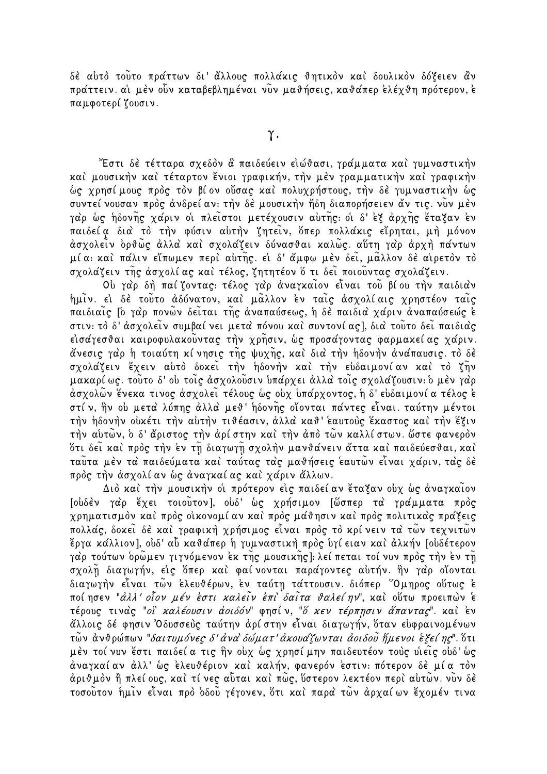δέ αύτό τούτο πράττων δι' άλλους πολλάκις θητικόν και δουλικόν δόξειεν άν πράττειν. αί μέν οὖν καταβεβλημέναι νὖν μαθήσεις, καθάπερ 'ελέχθη πρότερον, 'ε παμφοτερί ζουσιν.

"Έστι δὲ τέτταρα σχεδὸν ἃ παιδεύειν εἰώθασι, γράμματα καὶ γυμναστικὴν καί μουσικήν καί τέταρτον ένιοι γραφικήν, την μέν γραμματικήν καί γραφικήν ώς χρησίμους πρός τον βίον ούσας και πολυχρήστους, την δέ γυμναστικήν ώς συντεί νουσαν πρός άνδρεί αν: την δε μουσικήν ήδη διαπορήσειεν άν τις. νύν μεν γαρ ώς ηδονης χαριν οι πλείστοι μετέχουσιν αυτης: οι δ'εξ αρχης έταξαν εν παιδεί α δια το την φύσιν αύτην ζητείν, όπερ πολλάκις είρηται, μη μόνον άσχολεῖν ὀρθῶς ἀλλα καὶ σχολάζειν δύνασθαι καλῶς. αὕτη γαρ ἀρχὴ πάντων μία: καὶ πάλιν εἴπωμεν περὶ αὐτῆς. εἰ δ' ἄμφω μὲν δεἶ, μᾶλλον δὲ αἱρετὸν τὸ σχολάζειν της άσχολίας και τέλος, ζητητέον δ τι δει ποιούντας σχολάζειν.

Ου γαρ δη παίζοντας: τέλος γαρ αναγκαίον είναι του βίου την παιδιαν ημίν. εί δε τούτο άδύνατον, και μάλλον εν ταίς ασχολίαις χρηστέον ταίς παιδιαίς [ο γαρ πονών δείται της αναπαύσεως, η δε παιδια χαριν αναπαύσεώς ε στιν: τὸ δ' ἀσχολεῖν συμβαί νει μετα πόνου καὶ συντονί ας], δια τοῦτο δεῖ παιδιας εισάγεσθαι καιροφυλακούντας την χρήσιν, ώς προσάγοντας φαρμακεί ας χάριν. άνεσις γαρ ή τοιαύτη κίνησις της ψυχης, και δια την ηδονην αναπαυσις. το δε σχολάζειν έχειν αυτό δοκεί την ηδονήν και την ευδαιμονίαν και το ζην μακαρί ως. τούτο δ' ού τοις άσχολουσιν υπάρχει άλλα τοις σχολάζουσιν: δ μεν γαρ άσχολῶν ἕνεκα τινος ἀσχολεῖ τέλους ὡς οὐχ ὑπάρχοντος, ἡ δ' εὐδαιμονί α τέλος ἐ στίν, ἣν ού μετα λύπης άλλα μεθ' ἡδονῆς οἴονται πάντες εἶναι ταύτην μέντοι τὴν ἡδονὴν οὐκέτι τὴν αὐτὴν τιθέασιν, ἀλλα καθ' ἑαυτοὺς ἕκαστος καὶ τὴν ἕξιν τὴν αὑτῶν, ὁ δ' ἄριστος τὴν ἀρί στην καὶ τὴν ἀπὸ τῶν καλλί στων. ὥστε φανερὸν δτι δεί και προς την εν τη διαγωγη σχολην μανθάνειν άττα και παιδεύεσθαι, και ταύτα μέν τα παιδεύματα και ταύτας τας μαθήσεις εαυτών είναι χαριν, τας δε πρός τὴν ἀσχολί αν ὡς ἀναγκαί ας καὶ χάριν ἄλλων.

Διὸ καὶ τὴν μουσικὴν οἱ πρότερον εἰς παιδεί αν ἔταξαν οὐχ ὡς ἀναγκαἶον *[ούδέν γαρ έχει τοιούτον], ούδ' ως χρήσιμον [ώσπερ τα γράμματα πρός* χρηματισμόν και πρός οικονομίαν και πρός μάθησιν και πρός πολιτικας πράξεις πολλάς, δοκεί δέ και γραφική χρήσιμος είναι πρός το κρίνειν τα τῶν τεχνιτῶν έργα κάλλιον], ούδ' αὖ καθάπερ ή γυμναστική πρὸς υγί ειαν και άλκήν [ουδέτερον γαρ τούτων δρώμεν γιγνόμενον έκ της μουσικης]: λεί πεται τοί νυν προς την έν τη σχολη διαγωγήν, είς δπερ και φαίνονται παράγοντες αυτήν. ην γαρ οίονται διαγωγήν είναι των ελευθέρων, εν ταύτη τάττουσιν. διόπερ Όμηρος ούτως ε ποί ησεν "άλλ' οίον μέν έστι καλείν έπι δαίτα θαλεί ην", και ούτω προειπών ε τέρους τινας "οί καλέουσιν άοιδόν" φησίν, "δ κεν τέρπησιν άπαντας". και εν άλλοις δέ φησιν Όδυσσεύς ταύτην αρίστην εἶναι διαγωγήν, ὅταν εὐφραινομένων τῶν ἀνθρώπων "δαιτυμόνες δ'άνα δώματ' άκουα ζωνται άοιδοῦ ἥμενοι ξζεί ης". ὅτι μέν τοί νυν έστι παιδεί α τις ἣν ούχ ώς χρησί μην παιδευτέον τους υιείς ουδ' ώς άναγκαίαν άλλ' ώς 'ελευθέριον και καλήν, φανερόν 'εστιν: πότερον δέ μία τον άριθμὸν ἢ πλεί ους, καὶ τί νες αὗται καὶ πῶς, ὕστερον λεκτέον περὶ αὐτῶν. νῦν δὲ τοσούτον ήμιν είναι πρὸ δδοῦ γέγονεν, ὅτι καὶ παρα τῶν ἀρχαί ων ἔχομέν τινα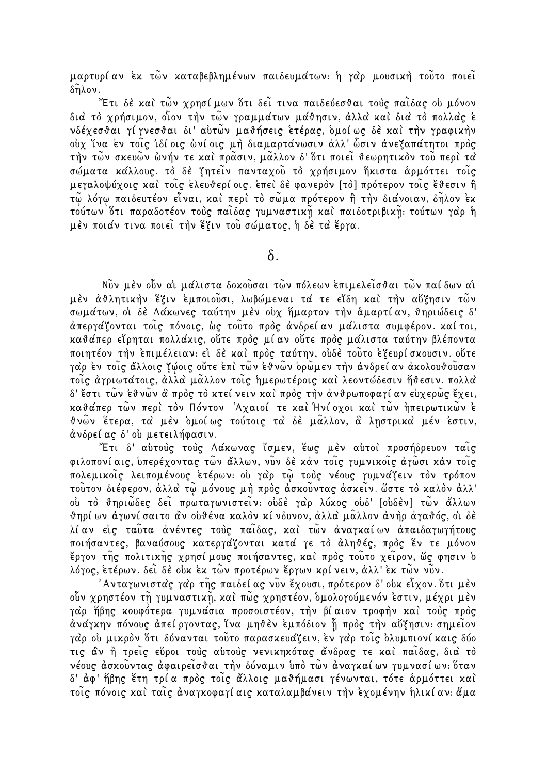μαρτυρίαν έκ τών καταβεβλημένων παιδευμάτων: ή γαρ μουσική τούτο ποιεί  $\delta \tilde{n} \lambda o \nu$ .

"Έτι δὲ καὶ τῶν χρησί μων ὅτι δεῖ τινα παιδεύεσθαι τοὺς παῖδας οὐ μόνον δια το χρήσιμον, οίον την των γραμμάτων μάθησιν, άλλα και δια το πολλας ε νδέχεσθαι γίγνεσθαι δι' αύτων μαθήσεις έτέρας, δμοί ως δε και την γραφικήν ούχ ίνα έν τοις ιδίοις ώνίοις μή διαμαρτάνωσιν άλλ' ὦσιν άνεξαπάτητοι πρός τὴν τὦν σκευῶν ὡνήν τε καὶ πρἆσιν, μᾶλλον δ' ὅτι ποιεῖ θεωρητικὸν τοῦ περὶ τὰ σώματα κάλλους. το δε ζητείν πανταχού το χρήσιμον ήκιστα άρμόττει τοίς μεγαλοψύχοις και τοις ελευθερί οις επει δε φανερον [το πρότερον τοις έθεσιν ή τὦ λόγω παιδευτέον εἶναι, καὶ περὶ τὸ σὦμα πρότερον ἢ τὴν διάνοιαν, δῆλον 'εκ τούτων δτι παραδοτέον τούς παιδας γυμναστική και παιδοτριβική: τούτων γαρ ή μέν ποιάν τινα ποιεί την έξιν του σώματος, η δέ τα έργα.

δ.

Νὗν μὲν οὗν αἱ μαλιστα δοκοὗσαι τῶν πόλεων ἐπιμελεἶσθαι τῶν παί δων αἱ μέν άθλητικήν έξιν εμποιούσι, λωβώμεναι τα τε είδη καὶ τὴν αὔξησιν τῶν σωμάτων, οί δέ Λάκωνες ταύτην μέν ούχ ήμαρτον την άμαρτίαν, θηριώδεις δ' άπεργάζονται τοις πόνοις, ως τουτο προς ανδρείαν μάλιστα συμφέρον. καί τοι, καθάπερ είρηται πολλάκις, ούτε πρός μίαν ούτε πρός μάλιστα ταύτην βλέποντα ποιητέον την επιμέλειαν: εί δε και προς ταύτην, ούδε τουτο εξευρίσκουσιν. ούτε γαρ εν τοις άλλοις ζώοις ούτε επι των εθνων δρωμεν την ανδρεί αν ακολουθούσαν τοις άγριωτάτοις, άλλα μαλλον τοις ημερωτέροις και λεοντώδεσιν ήθεσιν. πολλα δ' έστι τῶν εθνῶν α προς το κτεί νειν και προς την ανθρωποφαγί αν ευχερῶς έχει, καθάπερ τῶν περί τον Πόντον 'Αχαιοί τε καί Ήνίοχοι καί τῶν ἠπειρωτικῶν ε θνών έτερα, τα μεν δμοίως τούτοις τα δε μαλλον, α ληστρικα μέν έστιν, άνδρεί ας δ' ού μετειλήφασιν.

"Έτι δ' αύτους τους Λάκωνας Ισμεν, έως μεν αυτοί προσήδρευον ταίς φιλοπονί αις, υπερέχοντας των άλλων, νύν δε κάν τοις γυμνικοις άγωσι κάν τοις πολεμικοίς λειπομένους ετέρων: ού γαρ τώ τούς νέους γυμναζειν τον τρόπον τούτον διέφερον, άλλα τω μόνους μή προς άσκούντας άσκειν. ώστε το καλον άλλ' ού το θηριώδες δει πρωταγωνιστείν: ούδε γαρ λύκος ούδ' [ούδεν] των άλλων θηρί ων άγωνί σαιτο άν ούθένα καλόν κί νδυνον, άλλα μαλλον άνηρ άγαθός, οί δέ λίαν είς ταύτα άνέντες τούς παιδας, και των αναγκαίων απαιδαγωγήτους ποιήσαντες, βαναύσους κατεργάζονται κατά γε το άληθές, προς έν τε μόνον έργον της πολιτικης χρησί μους ποιήσαντες, και προς τούτο χείρον, ώς φησιν δ λόγος, ετέρων. δει δε ούκ εκ των προτέρων έργων κρίνειν, άλλ' εκ των νύν.

'Ανταγωνιστας γαρ τῆς παιδεί ας νῦν ἔχουσι, πρότερον δ' οὐκ εἶχον. ὅτι μὲν οὖν χρηστέον τη γυμναστικη, και πως χρηστέον, δμολογούμενόν εστιν, μέχρι μεν γαρ ήβης κουφότερα γυμνάσια προσοιστέον, την βίαιον τροφην και τους προς άναγκην πόνους απείργοντας, ίνα μηθεν εμπόδιον ή προς την αύξησιν: σημείον γαρ ού μικρόν ότι δύνανται τούτο παρασκευάζειν, εν γαρ τοις όλυμπιονί καις δύο τις άν ή τρείς εύροι τούς αύτούς νενικηκότας άνδρας τε και παιδας, δια το νέους άσκοῦντας ἀφαιρεἶσθαι τὴν δύναμιν ὑπὸ τῶν ἀναγκαί ων γυμνασί ων: ὅταν δ' άφ' ἥβης ἔτη τρία πρὸς τοις ἄλλοις μαθήμασι γένωνται, τότε ἁρμόττει καὶ τοις πόνοις και ταις άναγκοφαγί αις καταλαμβάνειν την εχομένην ηλικί αν: άμα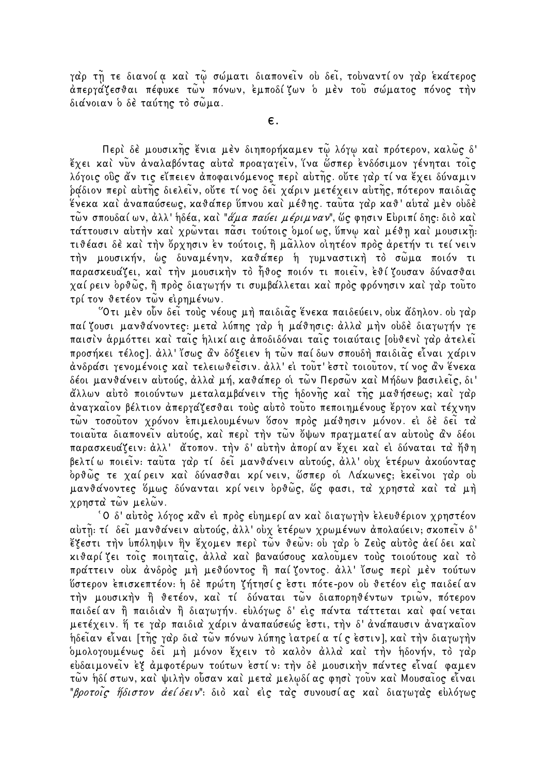γαρ τη τε διανοία και τώ σώματι διαπονείν ου δεί, τουναντίον γαρ εκάτερος άπεργάζεσθαι πέφυχε τὦν πόνων, εμποδίζων ο μεν του σώματος πόνος την διάνοιαν ο δε ταύτης το σώμα.

Περί δε μουσικής ένια μεν διηπορήκαμεν τω λόγω και πρότερον, καλώς δ' έχει και νύν αναλαβόντας αυτα προαγαγείν, ίνα ώσπερ ενδόσιμον γένηται τοις λόγοις ούς άν τις είπειεν αποφαινόμενος περί αυτής. ούτε γαρ τί να έχει δύναμιν ράδιον περί αυτής διελείν, ούτε τί νος δεί χάριν μετέχειν αυτής, πότερον παιδιάς ένεκα και άναπαύσεως, καθάπερ ύπνου και μέθης. ταυτα γαρ καθ' αυτα μεν ουδε τῶν σπουδαί ων, άλλ' ἡδέα, καὶ "άμα παύει μέριμναν", ὥς φησιν Εὐριπί δης: διὸ καὶ τάττουσιν αύτην και χρώνται πάσι τούτοις δμοίως, ύπνω και μέθη και μουσική: τιθέασι δε και την όρχησιν εν τούτοις, ή μαλλον οιητέον προς άρετήν τι τεί νειν τήν μουσικήν, ώς δυναμένην, καθάπερ ή γυμναστική τὸ σὦμα ποιόν τι παρασκευάζει, και την μουσικην το ήθος ποιόν τι ποιείν, εθίζουσαν δύνασθαι χαί ρειν όρθως, ή πρός διαγωγήν τι συμβάλλεται και πρός φρόνησιν και γαρ τουτο τρί τον θετέον τὧν ειρημένων.

Ότι μεν οὖν δεἶ τοὺς νέους μὴ παιδιᾶς ἕνεκα παιδεύειν, οὐκ ἄδηλον. οὐ γαρ παίζουσι μανθάνοντες: μετα λύπης γαρ ή μάθησις: άλλα μήν ουδέ διαγωγήν γε παισίν άρμόττει και ταις ηλικί αις αποδιδόναι ταις τοιαύταις [ούθενι γαρ ατελει προσήκει τέλος]. άλλ' ἴσως ἀν δόξειεν ἡ τῶν παί δων σπουδὴ παιδιᾶς εἶναι χαριν άνδράσι γενομένοις καὶ τελειωθεἶσιν. ἀλλ' εἰ τοῦτ' ἐστὶ τοιοῦτον, τί νος ἀν ἕνεκα δέοι μανθάνειν αὐτούς, ἀλλα μή, καθάπερ οι τῶν Περσῶν καὶ Μήδων βασιλεἶς, δι' <u>άλλων αὐτὸ ποιούντων μεταλαμβάνειν τῆς ἡδονῆς καὶ τῆς μαθήσεως; καὶ γαρ</u> άναγκαίον βέλτιον άπεργάζεσθαι τούς αύτό τούτο πεποιημένους έργον και τέχνην τῶν τοσοῦτον χρόνον ἐπιμελουμένων ὅσον πρὸς μαθησιν μόνον. ει δε δεῖ τα τοιαύτα διαπονείν αύτούς, και περι την των όψων πραγματεί αν αυτους άν δέοι παρασκευάζειν: άλλ' άτοπον. την δ' αύτην άπορίαν έχει και εί δύναται τα ήθη βελτίω ποιείν: ταύτα γαρ τί δει μανθάνειν αυτούς, άλλ' ουχ ετέρων ακούοντας όρθὦς τε χαίρειν καὶ δύνασθαι κρίνειν, ὥσπερ οἱ Λάκωνες; ἐκεῖνοι γαρ οὐ μανθάνοντες δμως δύνανται κρίνειν ορθώς, ώς φασι, τα χρηστα και τα μή γρηστα τῶν μελῶν.

0 δ' αύτος λόγος κάν ει προς εύημερί αν και διαγωγήν ελευθέριον χρηστέον αύτη: τί δει μανθάνειν αύτούς, άλλ' ούχ ετέρων χρωμένων άπολαύειν; σκοπείν δ' έξεστι την υπόληψιν ἣν έχομεν περὶ τῶν θεῶν: οὐ γαρ ὁ Ζεὺς αὐτὸς ἀείδει καὶ κιθαρίζει τοις ποιηταις, άλλα και βαναύσους καλούμεν τους τοιούτους και το πράττειν ούκ άνδρος μη μεθύοντος ή παίζοντος. άλλ' ίσως περι μεν τούτων ύστερον επισκεπτέον: ή δε πρώτη ζήτησίς εστι πότε-ρον ού θετέον είς παιδεί αν τήν μουσικήν ἢ θετέον, καὶ τί δύναται τῶν διαπορηθέντων τριῶν, πότερον παιδείαν ή παιδιαν ή διαγωγήν. ευλόγως δ' είς πάντα τάττεται και φαίνεται μετέχειν. ή τε γαρ παιδια χαριν αναπαύσεώς εστι, την δ' αναπαυσιν αναγκαίον ήδειαν είναι [της γαρ δια των πόνων λύπης ιατρεί α τίς εστιν], και την διαγωγην δμολογουμένως δεί μή μόνον έχειν τὸ καλὸν ἀλλα καὶ τὴν ἡδονήν, τὸ γαρ εύδαιμονείν εξ άμφοτέρων τούτων εστίν: την δε μουσικην πάντες είναί φαμεν τῶν ἡδίστων, καὶ ψιλὴν οὗσαν καὶ μετα μελωδίας φησὶ γοῦν καὶ Μουσαῖος εἶναι "βροτοίς ήδιστον άείδειν": διό καί είς τας συνουσίας και διαγωγας ευλόγως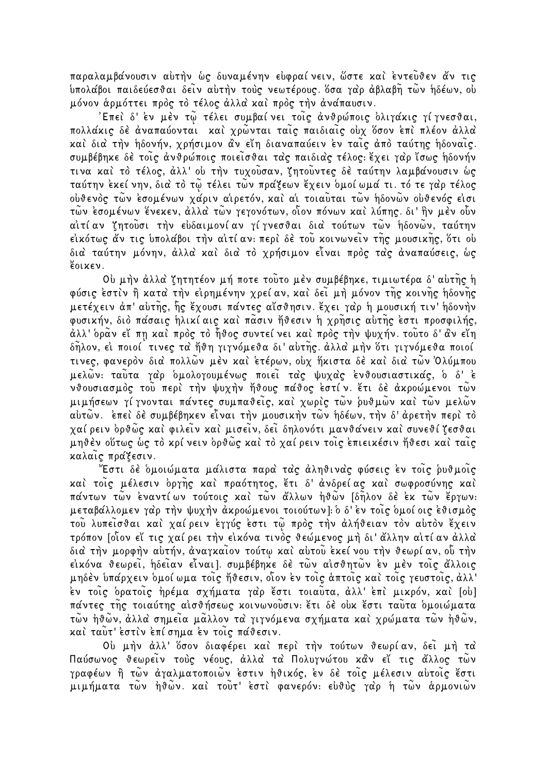παραλαμβάνουσιν αύτην ώς δυναμένην εύφραίνειν, ώστε και εντεύθεν άν τις υπολάβοι παιδεύεσθαι δείν αυτήν τους νεωτέρους. όσα γαρ άβλαβη των ηδέων, ου μόνον άρμόττει πρός το τέλος άλλα και πρός την αναπαυσιν.

'Επεὶ δ' ἐν μὲν τῷ τέλει συμβαίνει τοῖς ἀνθρώποις ὀλιγάχις γίγνεσθαι, πολλάκις δέ άναπαύονται και χρώνται ταις παιδιαις ούχ όσον επι πλέον άλλα καί δια την ηδονήν, χρήσιμον άν είη διαναπαύειν έν ταις άπό ταύτης ηδοναις. συμβέβηκε δε τοις άνθρώποις ποιεισθαι τας παιδιας τέλος: έχει γαρ ίσως ηδονήν τινα και το τέλος, άλλ' ου την τυχούσαν, ζητούντες δε ταύτην λαμβάνουσιν ώς ταύτην εκεί νην, δια το τῷ τέλει τῶν πράξεων ἔχειν δμοί ωμά τι. τό τε γαρ τέλος ούθενός των εσομένων γάριν αίρετόν, και αί τοιαύται των ηδονων ουθενός είσι τῶν ἐσομένων ἕνεκεν, ἀλλα τῶν γεγονότων, οἶον πόνων καὶ λύπης. δι' ἣν μεν οὖν αιτίαν ζητούσι την ευδαιμονίαν γίγνεσθαι δια τούτων των ηδονων, ταύτην εικότως άν τις υπολάβοι την αιτί αν: περι δε του κοινωνείν της μουσικης, ότι ου δια ταύτην μόνην, άλλα και δια το χρήσιμον είναι προς τας αναπαύσεις, ώς έοικεν.

Ού μήν άλλα ζητητέον μή ποτε τούτο μέν συμβέβηκε, τιμιωτέρα δ' αύτης ή φύσις έστιν ή κατα την ειρημένην χρεί αν, και δεί μη μόνον της κοινης ηδονης μετέχειν άπ' αύτης, ής έχουσι πάντες αΐσθησιν. έχει γαρ η μουσική τιν' ηδονην φυσικήν, διὸ πάσαις ἡλικί αις καὶ πἆσιν ἤθεσιν ἡ χρῆσις αὐτῆς ἐστι προσφιλής, άλλ' δράν εἴ πη καὶ πρὸς τὸ ἦθος συντεί νει καὶ πρὸς τὴν ψυχήν. τοῦτο δ' ἀν εἴη δηλον, εί ποιοί τινες τα ήθη γιγνόμεθα δι' αύτης. άλλα μην ότι γιγνόμεθα ποιοί τινες, φανερόν δια πολλών μέν και ετέρων, ούχ ήκιστα δε και δια των Όλύμπου μελών: ταύτα γαρ δμολογουμένως ποιεί τας ψυχας ενθουσιαστικάς, δ δ' ε νθουσιασμός του περί την ψυχην ήθους πάθος έστίν. έτι δε άκροώμενοι των μιμήσεων γίγνονται πάντες συμπαθείς, και χωρις των ρυθμων και των μελων αύτων. επεί δέ συμβέβηκεν είναι την μουσικήν των ηδέων, την δ' άρετην περί το γαί ρειν ορθώς και φιλείν και μισείν, δει δηλονότι μανθάνειν και συνεθί ζεσθαι μηθεν ούτως ως το κρίνειν ορθώς και το χαίρειν τοις επιεικέσιν ήθεσι και ταις καλαίς πράξεσιν.

"Έστι δὲ ὁμοιώματα μάλιστα παρα τας ἀληθινας φύσεις ἐν τοῖς ῥυθμοῖς και τοις μέλεσιν οργής και πραότητος, έτι δ' άνδρείας και σωφροσύνης και πάντων τῶν ἐναντίων τούτοις καὶ τῶν ἄλλων ἠθῶν [δῆλον δὲ ἐκ τῶν ἔργων: μεταβάλλομεν γαρ την ψυχην ακροώμενοι τοιούτων]: δ δ'εν τοις δμοί οις εθισμός του λυπείσθαι και χαίρειν εγγύς εστι τώ προς την αλήθειαν τον αυτον έχειν τρόπον [οΐον εἴ τις χαί ρει την εικόνα τινός θεώμενος μη δι' άλλην αιτί αν άλλα δια την μορφην αύτήν, άναγκαίον τούτω και αύτού εκεί νου την θεωρί αν, ού την εικόνα θεωρεί, ηδείαν είναι] συμβέβηκε δε των αισθητων εν μεν τοις άλλοις μηδέν υπάρχειν δμοί ωμα τοις ήθεσιν, οίον εν τοις άπτοις και τοις γευστοις, άλλ' έν τοις δρατοις ἠρέμα σχήματα γαρ ἔστι τοιαῦτα, ἀλλ' ἐπι μικρόν, και [οὐ] πάντες της τοιαύτης αισθήσεως κοινωνούσιν: έτι δέ ούκ έστι ταύτα δμοιώματα τῶν ἠθῶν, ἀλλα σημεῖα μᾶλλον τα γιγνόμενα σχήματα καὶ χρώματα τῶν ἠθῶν, και ταυτ' έστιν επί σημα έν τοις πάθεσιν.

Ου μήν άλλ' όσον διαφέρει και περι την τούτων θεωρίαν, δει μή τα Παύσωνος θεωρείν τούς νέους, άλλα τα Πολυγνώτου κάν εί τις άλλος των γραφέων ἢ τῶν ἀγαλματοποιῶν ἐστιν ἠθικός, ἐν δὲ τοις μέλεσιν αὐτοις ἔστι μιμήματα τῶν ἠθῶν. καὶ τοῦτ' ἐστὶ φανερόν: εὐθὺς γαρ ἡ τῶν ἁρμονιῶν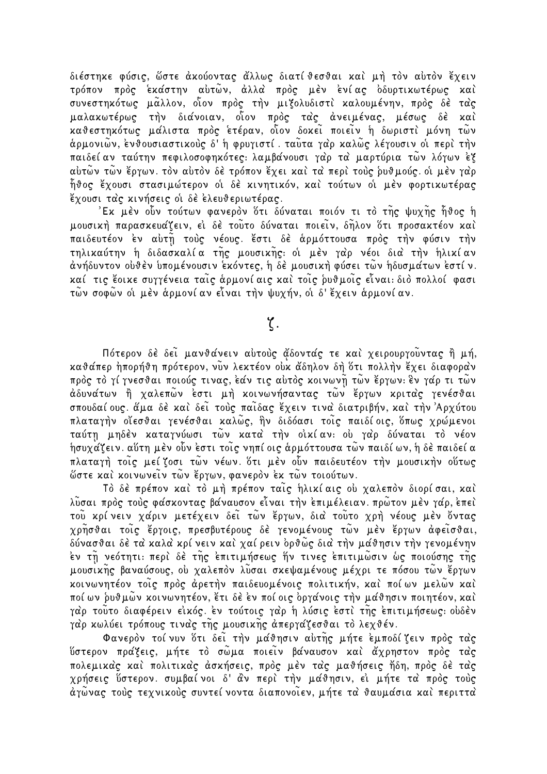διέστηκε φύσις, ώστε άκούοντας άλλως διατίθεσθαι και μη τον αυτον έχειν τρόπον πρός εκαστην αυτών, αλλα πρός μέν ενίας οδυρτικωτέρως και συνεστηκότως μάλλον, οίον πρός την μιζολυδιστι καλουμένην, πρός δε τας μαλακωτέρως την διάνοιαν, οίον προς τας ανειμένας, μέσως δε και<br>καθεστηκότως μάλιστα προς ετέραν, οίον δοκει ποιείν η δωριστι μόνη τῶν άρμονιών, ενθουσιαστικούς δ' ή φρυγιστί. ταύτα γαρ καλώς λέγουσιν οί περί την παιδεί αν ταύτην πεφιλοσοφηκότες: λαμβάνουσι γαρ τα μαρτύρια τῶν λόγων 'εξ αύτων των έργων, τον αύτον δε τρόπον έχει και τα περι τους ρυθμούς, οι μεν γαρ ἦθος ἔχουσι στασιμώτερον οἱ δὲ κινητικόν, καὶ τούτων οἱ μὲν φορτικωτέρας έγουσι τας κινήσεις οι δε ελευθεριωτέρας.

<sup>'</sup>Εκ μὲν οὖν τούτων φανερὸν ὅτι δύναται ποιόν τι τὸ τῆς ψυχῆς ἦθος ἡ μουσική παρασκευάζειν, ει δέ τούτο δύναται ποιείν, δήλον ότι προσακτέον και παιδευτέον έν αύτη τούς νέους. έστι δε άρμόττουσα πρός την φύσιν την τηλικαύτην ή διδασκαλία της μουσικης: οί μέν γαρ νέοι δια την ηλικίαν άνήδυντον ούθεν υπομένουσιν εκόντες, η δε μουσική φύσει τῶν ἡδυσμάτων 'εστίν. καί τις έοικε συγγένεια ταις άρμονίαις και τοις ρυθμοις είναι: διο πολλοί φασι τῶν σοφῶν οἱ μèν ἁρμονίαν εἶναι τὴν ψυχήν, οἱ δ' ἔχειν ἁρμονίαν.

 $\mathfrak{C}.$ 

Πότερον δε δεί μανθάνειν αύτους άδοντάς τε και χειρουργούντας ή μή, καθάπερ ήπορήθη πρότερον, νύν λεκτέον ούκ άδηλον δη ότι πολλην έχει διαφοραν πρός το γίγνεσθαι ποιούς τινας, εαν τις αυτός κοινωνή των έργων: εν γαρ τι των άδυνάτων ἢ χαλεπῶν 'εστι μὴ κοινωνήσαντας τῶν ἔργων κριτας γενέσθαι σπουδαί ους. άμα δέ και δεί τους παιδας έχειν τινα διατριβήν, και την Αρχύτου πλαταγήν οἴεσθαι γενέσθαι καλώς, ἣν διδόασι τοις παιδίοις, ὅπως χρώμενοι ταύτη μηδέν καταγνύωσι των κατα την σικίαν: ου γαρ δύναται το νέον ήσυχαζειν. αύτη μέν ούν έστι τοις νηπί οις άρμόττουσα των παιδί ων, ή δέ παιδεί α πλαταγή τοις μεί ζοσι των νέων. Ότι μέν ούν παιδευτέον την μουσικήν ούτως ώστε και κοινωνείν των έργων, φανερον εκ των τοιούτων.

Τὸ δε πρέπον καὶ τὸ μὴ πρέπον ταις ἡλικί αις οὐ χαλεπὸν διορίσαι, καὶ λύσαι πρός τούς φάσκοντας βάναυσον είναι την επιμέλειαν. πρώτον μέν γάρ, επεί του κρίνειν χαριν μετέχειν δει των έργων, δια τουτο χρή νέους μεν όντας χρησθαι τοις έργοις, πρεσβυτέρους δε γενομένους των μεν έργων άφεισθαι, δύνασθαι δέ τα καλα κρί νειν και χαί ρειν ορθως δια την μάθησιν την γενομένην έν τη νεότητι: περὶ δὲ τῆς ἐπιτιμήσεως ἥν τινες ἐπιτιμῶσιν ὡς ποιούσης τῆς μουσικής βαναύσους, ού χαλεπόν λύσαι σκεψαμένους μέχρι τε πόσου τών έργων κοινωνητέον τοις πρός άρετην παιδευομένοις πολιτικήν, και ποίων μελών και ποί ων ρυθμών κοινωνητέον, έτι δε εν ποί οις οργάνοις την μάθησιν ποιητέον, και γαρ τούτο διαφέρειν εικός. εν τούτοις γαρ ή λύσις εστι της επιτιμήσεως: ουδεν γαρ κωλύει τρόπους τινας της μουσικής απεργαζεσθαι το λεχθέν.

Φανερόν τοίνυν ότι δεί την μάθησιν αύτης μήτε εμποδίζειν πρός τας ύστερον πράξεις, μήτε τὸ σὦμα ποιεἶν βάναυσον καὶ ἄχρηστον πρὸς τας πολεμικας και πολιτικας άσκήσεις, πρός μέν τας μαθήσεις ήδη, πρός δέ τας γρήσεις ύστερον. συμβαίνοι δ' άν περί την μάθησιν, εί μήτε τα πρός τούς άγώνας τούς τεχνικούς συντεί νοντα διαπονοίεν, μήτε τα θαυμάσια και περιττα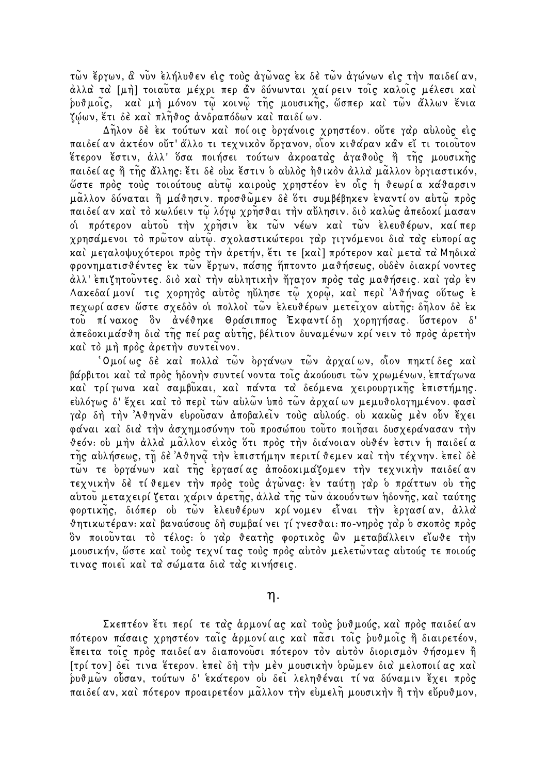τῶν ἔργων, α νῦν ἐλήλυθεν είς τους ἀγῶνας 'εκ δε τῶν ἀγώνων είς την παιδεί αν, άλλα τα [μή] τοιαῦτα μέχρι περ ἂν δύνωνται χαίρειν τοῖς καλοῖς μέλεσι καὶ ρυθμοίς, και μή μόνον τῷ κοινῷ τῆς μουσικῆς, ὥσπερ και τῶν ἄλλων ἔνια ζώων, έτι δε και πληθος ανδραπόδων και παιδίων.

Δήλον δέ έκ τούτων και ποίοις οργάνοις χρηστέον. ούτε γαρ αυλους είς παιδεί αν άκτέον ούτ' άλλο τι τεχνικόν όργανον, οίον κιθάραν κάν εί τι τοιούτον έτερον έστιν, άλλ' όσα ποιήσει τούτων άκροατας άγαθούς ή της μουσικης παιδεί ας ή της άλλης: έτι δε ούκ έστιν δ αύλος ήθικον άλλα μαλλον οργιαστικόν, ώστε πρός τούς τοιούτους αύτω καιρούς χρηστέον έν οίς ή θεωρία κάθαρσιν μαλλον δύναται ή μαθησιν. προσθώμεν δε ότι συμβέβηκεν εναντίον αυτώ προς παιδεί αν και το κωλύειν τῷ λόγψ χρησθαι την αΰλησιν. διο καλῶς ἀπεδοκί μασαν οί πρότερον αύτοῦ τὴν χρῆσιν ἐκ τῶν νέων καὶ τῶν ἐλευθέρων, καίπερ γρησάμενοι το πρώτον αύτώ, σχολαστικώτεροι γαρ γιγνόμενοι δια τας εύπορίας και μεγαλοψυχότεροι προς την άρετήν, έτι τε [και ] πρότερον και μετα τα Μηδικα φρονηματισθέντες έκ των έργων, πάσης ήπτοντο μαθήσεως, ούδεν διακρί νοντες άλλ' επιζητούντες. διό και την αύλητικην ήγαγον πρός τας μαθήσεις. και γαρ εν Λακεδαί μονί τις χορηγός αύτός η λησε τώ χορώ, και περι Αθήνας ούτως ε πεχωρί ασεν ὥστε σχεδὸν οἱ πολλοὶ τῶν ἐλευθέρων μετεἶχον αὐτῆς: δῆλον δὲ ἐκ του πίνακος δν ανέθηκε Θράσιππος Έκφαντίδη χορηγήσας. ύστερον δ' άπεδοκιμάσθη δια της πεί ρας αύτης, βέλτιον δυναμένων κρί νειν το προς άρετην καί τό μή πρός άρετήν συντείνον.

Όμοίως δέ καὶ πολλα τῶν ὀργάνων τῶν ἀρχαίων, οἶον πηκτίδες καὶ βάρβιτοι καὶ τα πρὸς ἡδονὴν συντεί νοντα τοις ἀκούουσι τῶν χρωμένων, επτάγωνα καί τρίγωνα καί σαμβύκαι, καί πάντα τα δεόμενα χειρουργικής επιστήμης. εύλόγως δ' έχει και το περι τῶν αὐλῶν ὑπο τῶν ἀρχαί ων μεμυθολογημένον. φασι γαρ δη την Αθηναν εύρουσαν αποβαλείν τους αυλούς ου κακώς μεν ούν έχει φάναι καὶ δια τὴν ἀσχημοσύνην τοῦ προσώπου τοῦτο ποιῆσαι δυσχεράνασαν τὴν θεόν: ού μήν άλλα μαλλον είκος ότι προς την διανοιαν ούθέν εστιν ή παιδεία της αύλήσεως, τη δε Αθηνα την επιστήμην περιτίθεμεν και την τέχνην. επει δε τῶν τε ὀργάνων καὶ τῆς 'εργασίας ἀποδοκιμάζομεν τὴν τεχνικὴν παιδείαν τεχνικήν δέ τίθεμεν τήν πρός τούς άγωνας: έν ταύτη γαρ ο πράττων ού της αυτού μεταχειρί ζεται χαριν αρετής, άλλα της των ακουόντων ηδονης, και ταύτης φορτικής, διόπερ ου τών ελευθέρων κρίνομεν είναι την εργασίαν, άλλα θητικωτέραν: και βαναύσους δη συμβαί νει γίγνεσθαι: πο-νηρός γαρ ο σκοπός πρός δν ποιούνται το τέλος: δ γαρ θεατής φορτικός ὢν μεταβάλλειν εἴωθε τήν μουσικήν, ώστε και τους τεχνί τας τους προς αυτον μελετωντας αυτούς τε ποιούς τινας ποιεί και τα σώματα δια τας κινήσεις.

η.

Σκεπτέον έτι περί τε τας άρμονίας και τους ρυθμούς, και προς παιδείαν πότερον πάσαις χρηστέον ταις άρμονίαις και πασι τοις ρυθμοις ή διαιρετέον, έπειτα τοις πρός παιδεί αν διαπονούσι πότερον τον αυτον διορισμον θήσομεν ή [τρί τον] δεῖ τινα ἕτερον. ἐπεὶ δὴ τὴν μὲν μουσικὴν ὁρὦμεν δια μελοποιί ας καὶ ρυθμών ούσαν, τούτων δ' εκάτερον ου δεί λεληθέναι τίνα δύναμιν έχει προς παιδεί αν, και πότερον προαιρετέον μαλλον την ευμελη μουσικην ή την εύρυθμον,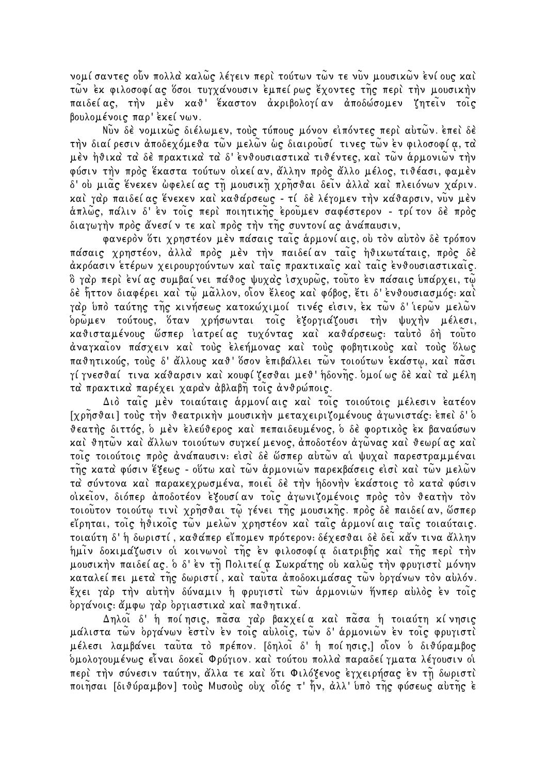νομί σαντες ούν πολλα καλώς λέγειν περι τούτων τών τε νύν μουσικών ενί ους και των έκ φιλοσοφίας δσοι τυγχάνουσιν έμπείρως έχοντες της περί την μουσικήν παιδείας, την μέν καθ' έκαστον ακριβολογίαν αποδώσομεν ζητείν τοις βουλομένοις παρ' έκεί νων.

Νὖν δε νομικώς διέλωμεν, τούς τύπους μόνον ειπόντες περί αυτών. επεί δε τὴν διαί ρεσιν ἀποδεχόμεθα τῶν μελῶν ὡς διαιροῦσί τινες τῶν ἐν φιλοσοφία, τα` μέν ήθικα τα δέ πρακτικα τα δ' ένθουσιαστικα τιθέντες, και τῶν ἁρμονιῶν την φύσιν την πρός έκαστα τούτων οικεί αν, άλλην πρός άλλο μέλος, τιθέασι, φαμέν δ' ού μιας ένεκεν ώφελεί ας τη μουσικη χρησθαι δείν άλλα και πλειόνων χάριν. και γαρ παιδεί ας ένεκεν και καθάρσεως - τί δε λέγομεν την κάθαρσιν, νύν μεν άπλώς, πάλιν δ' έν τοις περί ποιητικής έρουμεν σαφέστερον - τρίτον δέ πρός διαγωγήν πρός άνεσίν τε και πρός τήν της συντονίας ανάπαυσιν,

φανερόν ότι χρηστέον μέν πάσαις ταις άρμονί αις, ού τον αυτόν δέ τρόπον πάσαις χρηστέον, άλλα πρός μέν την παιδείαν ταις ηθικωτάταις, πρός δέ άκρόασιν ετέρων χειρουργούντων και ταις πρακτικαις και ταις ενθουσιαστικαις. δ γαρ περι ενίας συμβαίνει πάθος ψυχας ισχυρώς, τούτο εν πάσαις υπάρχει, τώ δε ήττον διαφέρει και τώ μαλλον, οίον έλεος και φόβος, έτι δ'ενθουσιασμός: και γαρ υπό ταύτης τῆς κινήσεως κατοκώχιμοί τινές εἰσιν, ἐκ τῶν δ'ἱερῶν μελῶν δρώμεν τούτους, όταν χρήσωνται τοις εξοργιαζουσι την ψυχην μέλεσι, καθισταμένους ώσπερ ιατρείας τυχόντας και καθάρσεως: ταυτό δή τούτο άναγκαίον πάσχειν και τους ελεήμονας και τους φοβητικους και τους δλως παθητικούς, τούς δ' άλλους καθ' όσον επιβάλλει των τοιούτων εκάστω, και πασι γίγνεσθαί τινα κάθαρσιν και κουφίζεσθαι μεθ' ηδονης. δμοίως δε και τα μέλη τα πρακτικα παρέχει χαραν άβλαβη τοις ανθρώποις.

Διό ταίς μέν τοιαύταις άρμονίαις και τοίς τοιούτοις μέλεσιν εατέον [χρησθαι] τούς την θεατρικήν μουσικήν μεταχειριζομένους άγωνιστάς: επεί δ' δ θεατής διττός, ο μέν έλεύθερος και πεπαιδευμένος, ο δε φορτικός έκ βαναύσων και θητών και άλλων τοιούτων συγκεί μενος, άποδοτέον άγωνας και θεωρίας και τοις τοιούτοις πρός άναπαυσιν: είσι δε ώσπερ αυτων αι ψυχαι παρεστραμμέναι τῆς κατα φύσιν ἕξεως - οὕτω καὶ τῶν ἁρμονιῶν παρεκβάσεις εἰσὶ καὶ τῶν μελῶν τα σύντονα και παρακεχρωσμένα, ποιεί δε την ηδονην εκάστοις το κατα φύσιν οικείον, διόπερ αποδοτέον εξουσίαν τοις αγωνιζομένοις προς τον θεατήν τον τοιούτον τοιούτω τινί χρησθαι τώ γένει της μουσικής. πρός δέ παιδεί αν, ώσπερ είρηται, τοις ήθικοις των μελων χρηστέον και ταις άρμονίαις ταις τοιαύταις. τοιαύτη δ' η δωριστί, καθάπερ είπομεν πρότερον: δέχεσθαι δε δει κάν τινα άλλην ήμἶν δοκιμάζωσιν οἱ κοινωνοὶ τῆς ἐν φιλοσοφία διατριβῆς καὶ τῆς περὶ τὴν μουσικήν παιδείας, δ δ' έν τη Πολιτεί α Σωκράτης ού καλώς την φρυγιστί μόνην καταλεί πει μετα της δωριστί, και ταύτα αποδοκιμάσας των οργάνων τον αυλόν. ἔχει γαρ τὴν αὐτὴν δύναμιν ἡ φρυγιστὶ τῶν ἁρμονιῶν ἥνπερ αὐλὸς ἐν τοἶς όργάνοις: άμφω γαρ όργιαστικα και παθητικά.

Δηλοί δ' ή ποίησις, πάσα γαρ βακχεία και πάσα ή τοιαύτη κίνησις μάλιστα τῶν ὀργάνων ἐστὶν ἐν τοις αὐλοις, τῶν δ' ἁρμονιῶν ἐν τοις φρυγιστὶ μέλεσι λαμβάνει ταὖτα τὸ πρέπον. [δηλοι δ' ἡ ποίησις,] οἱον ὁ διθύραμβος δμολογουμένως είναι δοκεί Φρύγιον. και τούτου πολλα παραδεί γματα λέγουσιν οι περὶ τὴν σύνεσιν ταύτην, ἄλλα τε καὶ ὅτι Φιλόξενος ἐγχειρήσας ἐν τῇ δωριστὶ ποιήσαι [διθύραμβον] τους Μυσους ουχ οίός τ' ήν, άλλ' υπο της φύσεως αυτης ε